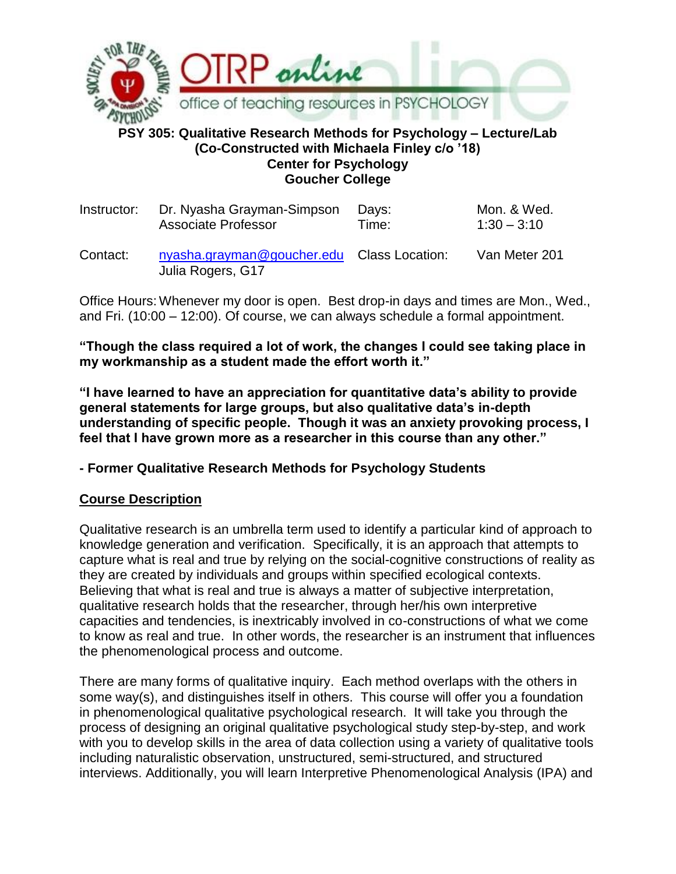

#### **PSY 305: Qualitative Research Methods for Psychology – Lecture/Lab (Co-Constructed with Michaela Finley c/o '18) Center for Psychology Goucher College**

| Instructor: | Dr. Nyasha Grayman-Simpson                                      | Days: | Mon. & Wed.   |
|-------------|-----------------------------------------------------------------|-------|---------------|
|             | <b>Associate Professor</b>                                      | Time: | $1:30 - 3:10$ |
| Contact:    | nyasha.grayman@goucher.edu Class Location:<br>Julia Rogers, G17 |       | Van Meter 201 |

Office Hours: Whenever my door is open. Best drop-in days and times are Mon., Wed., and Fri. (10:00 – 12:00). Of course, we can always schedule a formal appointment.

**"Though the class required a lot of work, the changes I could see taking place in my workmanship as a student made the effort worth it."**

**"I have learned to have an appreciation for quantitative data's ability to provide general statements for large groups, but also qualitative data's in-depth understanding of specific people. Though it was an anxiety provoking process, I feel that I have grown more as a researcher in this course than any other."**

## **- Former Qualitative Research Methods for Psychology Students**

## **Course Description**

Qualitative research is an umbrella term used to identify a particular kind of approach to knowledge generation and verification. Specifically, it is an approach that attempts to capture what is real and true by relying on the social-cognitive constructions of reality as they are created by individuals and groups within specified ecological contexts. Believing that what is real and true is always a matter of subjective interpretation, qualitative research holds that the researcher, through her/his own interpretive capacities and tendencies, is inextricably involved in co-constructions of what we come to know as real and true. In other words, the researcher is an instrument that influences the phenomenological process and outcome.

There are many forms of qualitative inquiry. Each method overlaps with the others in some way(s), and distinguishes itself in others. This course will offer you a foundation in phenomenological qualitative psychological research. It will take you through the process of designing an original qualitative psychological study step-by-step, and work with you to develop skills in the area of data collection using a variety of qualitative tools including naturalistic observation, unstructured, semi-structured, and structured interviews. Additionally, you will learn Interpretive Phenomenological Analysis (IPA) and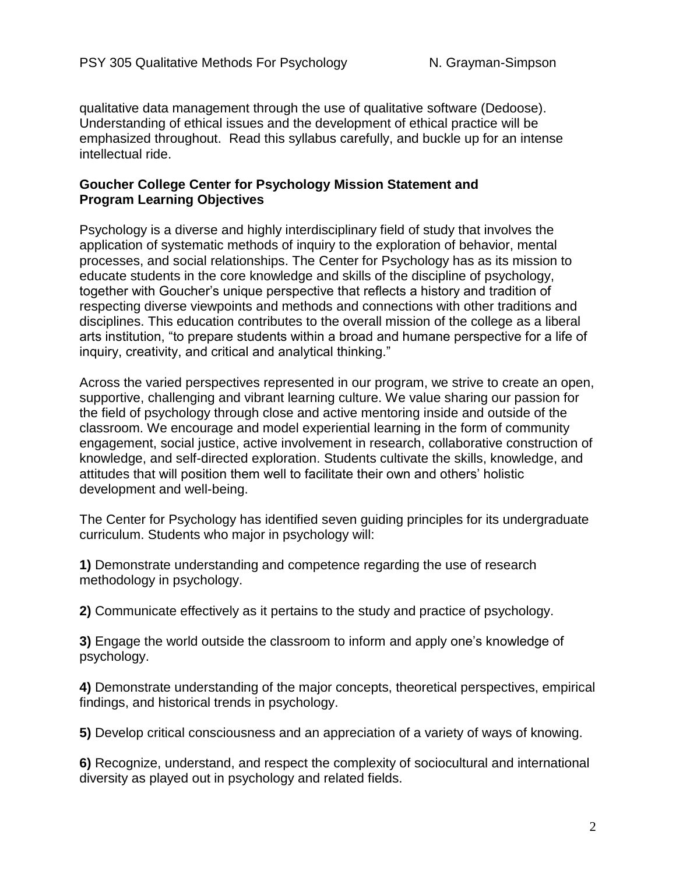qualitative data management through the use of qualitative software (Dedoose). Understanding of ethical issues and the development of ethical practice will be emphasized throughout. Read this syllabus carefully, and buckle up for an intense intellectual ride.

#### **Goucher College Center for Psychology Mission Statement and Program Learning Objectives**

Psychology is a diverse and highly interdisciplinary field of study that involves the application of systematic methods of inquiry to the exploration of behavior, mental processes, and social relationships. The Center for Psychology has as its mission to educate students in the core knowledge and skills of the discipline of psychology, together with Goucher's unique perspective that reflects a history and tradition of respecting diverse viewpoints and methods and connections with other traditions and disciplines. This education contributes to the overall mission of the college as a liberal arts institution, "to prepare students within a broad and humane perspective for a life of inquiry, creativity, and critical and analytical thinking."

Across the varied perspectives represented in our program, we strive to create an open, supportive, challenging and vibrant learning culture. We value sharing our passion for the field of psychology through close and active mentoring inside and outside of the classroom. We encourage and model experiential learning in the form of community engagement, social justice, active involvement in research, collaborative construction of knowledge, and self-directed exploration. Students cultivate the skills, knowledge, and attitudes that will position them well to facilitate their own and others' holistic development and well-being.

The Center for Psychology has identified seven guiding principles for its undergraduate curriculum. Students who major in psychology will:

**1)** Demonstrate understanding and competence regarding the use of research methodology in psychology.

**2)** Communicate effectively as it pertains to the study and practice of psychology.

**3)** Engage the world outside the classroom to inform and apply one's knowledge of psychology.

**4)** Demonstrate understanding of the major concepts, theoretical perspectives, empirical findings, and historical trends in psychology.

**5)** Develop critical consciousness and an appreciation of a variety of ways of knowing.

**6)** Recognize, understand, and respect the complexity of sociocultural and international diversity as played out in psychology and related fields.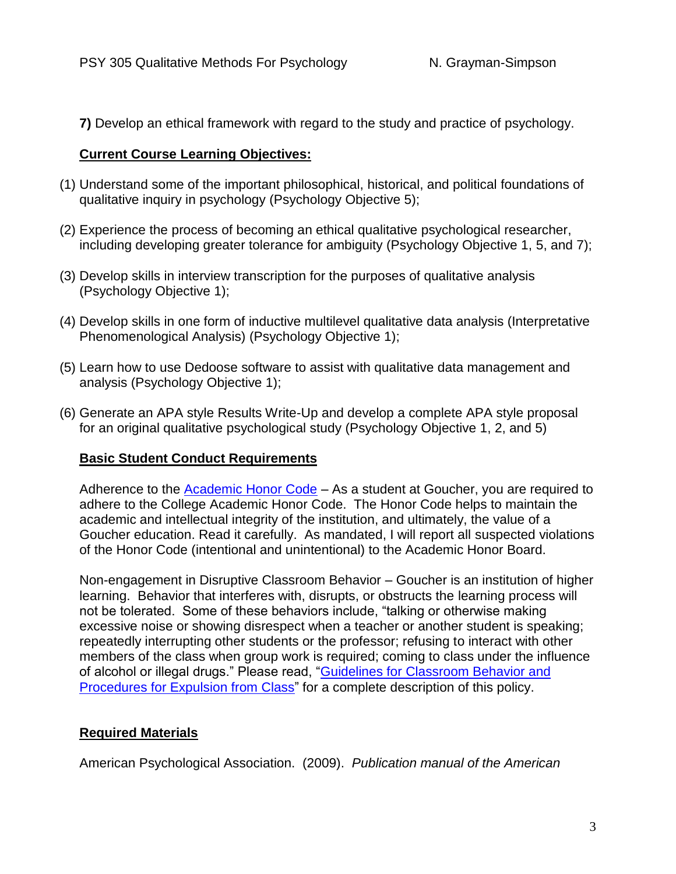**7)** Develop an ethical framework with regard to the study and practice of psychology.

## **Current Course Learning Objectives:**

- (1) Understand some of the important philosophical, historical, and political foundations of qualitative inquiry in psychology (Psychology Objective 5);
- (2) Experience the process of becoming an ethical qualitative psychological researcher, including developing greater tolerance for ambiguity (Psychology Objective 1, 5, and 7);
- (3) Develop skills in interview transcription for the purposes of qualitative analysis (Psychology Objective 1);
- (4) Develop skills in one form of inductive multilevel qualitative data analysis (Interpretative Phenomenological Analysis) (Psychology Objective 1);
- (5) Learn how to use Dedoose software to assist with qualitative data management and analysis (Psychology Objective 1);
- (6) Generate an APA style Results Write-Up and develop a complete APA style proposal for an original qualitative psychological study (Psychology Objective 1, 2, and 5)

# **Basic Student Conduct Requirements**

Adherence to the [Academic Honor Code](http://www.goucher.edu/academics/academic-honor-code) – As a student at Goucher, you are required to adhere to the College Academic Honor Code. The Honor Code helps to maintain the academic and intellectual integrity of the institution, and ultimately, the value of a Goucher education. Read it carefully. As mandated, I will report all suspected violations of the Honor Code (intentional and unintentional) to the Academic Honor Board.

Non-engagement in Disruptive Classroom Behavior – Goucher is an institution of higher learning. Behavior that interferes with, disrupts, or obstructs the learning process will not be tolerated. Some of these behaviors include, "talking or otherwise making excessive noise or showing disrespect when a teacher or another student is speaking; repeatedly interrupting other students or the professor; refusing to interact with other members of the class when group work is required; coming to class under the influence of alcohol or illegal drugs." Please read, ["Guidelines for Classroom Behavior and](http://www.goucher.edu/academics/office-of-the-provost/guidelines-for-classroom-behavior-and-procedures-for-expulsion-from-class)  [Procedures for Expulsion from Class"](http://www.goucher.edu/academics/office-of-the-provost/guidelines-for-classroom-behavior-and-procedures-for-expulsion-from-class) for a complete description of this policy.

# **Required Materials**

American Psychological Association. (2009). *Publication manual of the American*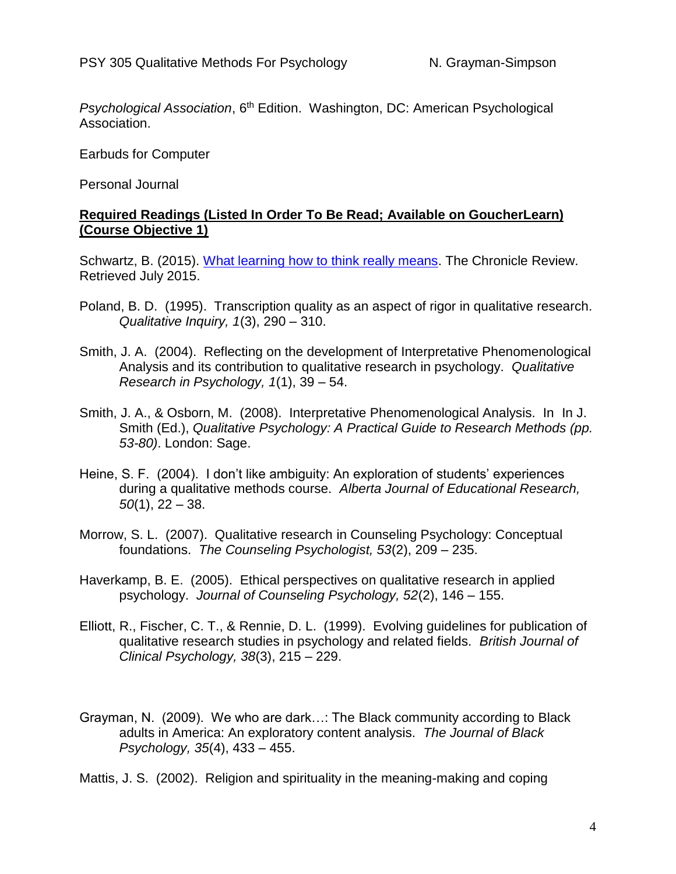*Psychological Association*, 6th Edition. Washington, DC: American Psychological Association.

Earbuds for Computer

Personal Journal

#### **Required Readings (Listed In Order To Be Read; Available on GoucherLearn) (Course Objective 1)**

Schwartz, B. (2015). [What learning how to think really means.](https://luenymorell.files.wordpress.com/2015/06/what-learning-how-to-think-really-means-the-chronicle-review-the-chronicle-of-higher-education.pdf) The Chronicle Review. Retrieved July 2015.

- Poland, B. D. (1995). Transcription quality as an aspect of rigor in qualitative research. *Qualitative Inquiry, 1*(3), 290 – 310.
- Smith, J. A. (2004). Reflecting on the development of Interpretative Phenomenological Analysis and its contribution to qualitative research in psychology. *Qualitative Research in Psychology, 1*(1), 39 – 54.
- Smith, J. A., & Osborn, M. (2008). Interpretative Phenomenological Analysis. In In J. Smith (Ed.), *Qualitative Psychology: A Practical Guide to Research Methods (pp. 53-80)*. London: Sage.
- Heine, S. F. (2004). I don't like ambiguity: An exploration of students' experiences during a qualitative methods course. *Alberta Journal of Educational Research, 50*(1), 22 – 38.
- Morrow, S. L. (2007). Qualitative research in Counseling Psychology: Conceptual foundations. *The Counseling Psychologist, 53*(2), 209 – 235.
- Haverkamp, B. E. (2005). Ethical perspectives on qualitative research in applied psychology. *Journal of Counseling Psychology, 52*(2), 146 – 155.
- Elliott, R., Fischer, C. T., & Rennie, D. L. (1999). Evolving guidelines for publication of qualitative research studies in psychology and related fields. *British Journal of Clinical Psychology, 38*(3), 215 – 229.
- Grayman, N. (2009). We who are dark…: The Black community according to Black adults in America: An exploratory content analysis. *The Journal of Black Psychology, 35*(4), 433 – 455.

Mattis, J. S. (2002). Religion and spirituality in the meaning-making and coping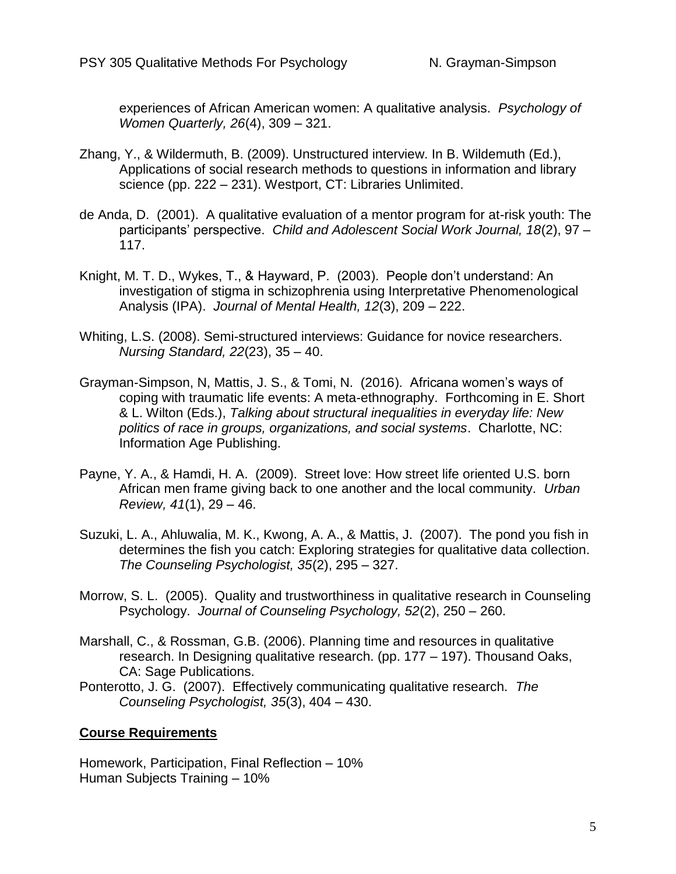experiences of African American women: A qualitative analysis. *Psychology of Women Quarterly, 26*(4), 309 – 321.

- Zhang, Y., & Wildermuth, B. (2009). Unstructured interview. In B. Wildemuth (Ed.), Applications of social research methods to questions in information and library science (pp. 222 – 231). Westport, CT: Libraries Unlimited.
- de Anda, D. (2001). A qualitative evaluation of a mentor program for at-risk youth: The participants' perspective. *Child and Adolescent Social Work Journal, 18*(2), 97 – 117.
- Knight, M. T. D., Wykes, T., & Hayward, P. (2003). People don't understand: An investigation of stigma in schizophrenia using Interpretative Phenomenological Analysis (IPA). *Journal of Mental Health, 12*(3), 209 – 222.
- Whiting, L.S. (2008). Semi-structured interviews: Guidance for novice researchers. *Nursing Standard, 22*(23), 35 – 40.
- Grayman-Simpson, N, Mattis, J. S., & Tomi, N. (2016). Africana women's ways of coping with traumatic life events: A meta-ethnography. Forthcoming in E. Short & L. Wilton (Eds.), *Talking about structural inequalities in everyday life: New politics of race in groups, organizations, and social systems*. Charlotte, NC: Information Age Publishing.
- Payne, Y. A., & Hamdi, H. A. (2009). Street love: How street life oriented U.S. born African men frame giving back to one another and the local community. *Urban Review, 41*(1), 29 – 46.
- Suzuki, L. A., Ahluwalia, M. K., Kwong, A. A., & Mattis, J. (2007). The pond you fish in determines the fish you catch: Exploring strategies for qualitative data collection. *The Counseling Psychologist, 35*(2), 295 – 327.
- Morrow, S. L. (2005). Quality and trustworthiness in qualitative research in Counseling Psychology. *Journal of Counseling Psychology, 52*(2), 250 – 260.
- Marshall, C., & Rossman, G.B. (2006). Planning time and resources in qualitative research. In Designing qualitative research. (pp. 177 – 197). Thousand Oaks, CA: Sage Publications.
- Ponterotto, J. G. (2007). Effectively communicating qualitative research. *The Counseling Psychologist, 35*(3), 404 – 430.

## **Course Requirements**

Homework, Participation, Final Reflection – 10% Human Subjects Training – 10%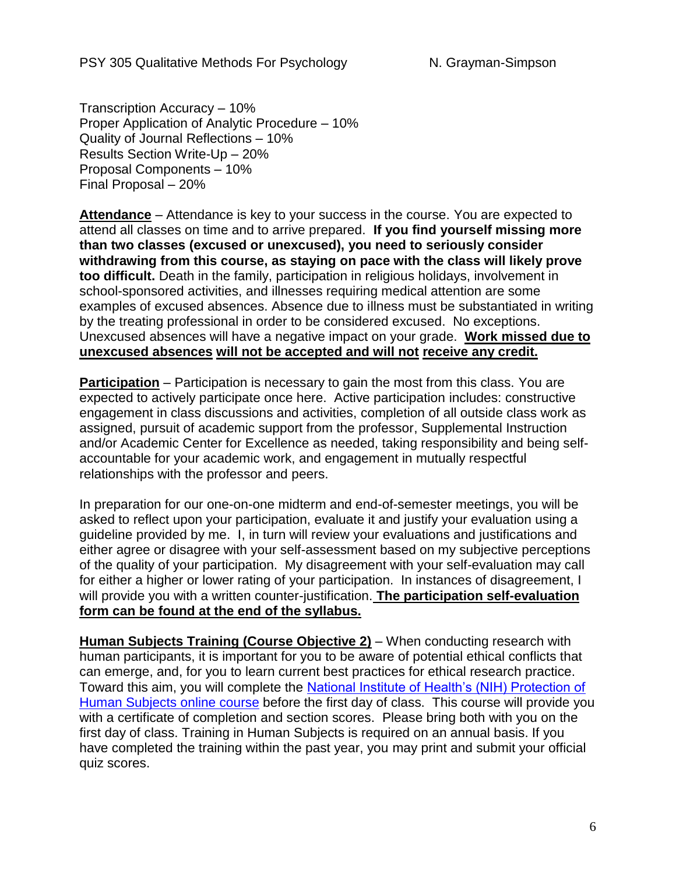Transcription Accuracy – 10% Proper Application of Analytic Procedure – 10% Quality of Journal Reflections – 10% Results Section Write-Up – 20% Proposal Components – 10% Final Proposal – 20%

**Attendance** – Attendance is key to your success in the course. You are expected to attend all classes on time and to arrive prepared. **If you find yourself missing more than two classes (excused or unexcused), you need to seriously consider withdrawing from this course, as staying on pace with the class will likely prove too difficult.** Death in the family, participation in religious holidays, involvement in school-sponsored activities, and illnesses requiring medical attention are some examples of excused absences. Absence due to illness must be substantiated in writing by the treating professional in order to be considered excused. No exceptions. Unexcused absences will have a negative impact on your grade. **Work missed due to unexcused absences will not be accepted and will not receive any credit.** 

**Participation** – Participation is necessary to gain the most from this class. You are expected to actively participate once here. Active participation includes: constructive engagement in class discussions and activities, completion of all outside class work as assigned, pursuit of academic support from the professor, Supplemental Instruction and/or Academic Center for Excellence as needed, taking responsibility and being selfaccountable for your academic work, and engagement in mutually respectful relationships with the professor and peers.

In preparation for our one-on-one midterm and end-of-semester meetings, you will be asked to reflect upon your participation, evaluate it and justify your evaluation using a guideline provided by me. I, in turn will review your evaluations and justifications and either agree or disagree with your self-assessment based on my subjective perceptions of the quality of your participation. My disagreement with your self-evaluation may call for either a higher or lower rating of your participation. In instances of disagreement, I will provide you with a written counter-justification. **The participation self-evaluation form can be found at the end of the syllabus.**

**Human Subjects Training (Course Objective 2)** – When conducting research with human participants, it is important for you to be aware of potential ethical conflicts that can emerge, and, for you to learn current best practices for ethical research practice. Toward this aim, you will complete the [National Institute of Health's \(NIH\) Protection of](https://phrp.nihtraining.com/users/login.php)  [Human Subjects online course](https://phrp.nihtraining.com/users/login.php) before the first day of class. This course will provide you with a certificate of completion and section scores. Please bring both with you on the first day of class. Training in Human Subjects is required on an annual basis. If you have completed the training within the past year, you may print and submit your official quiz scores.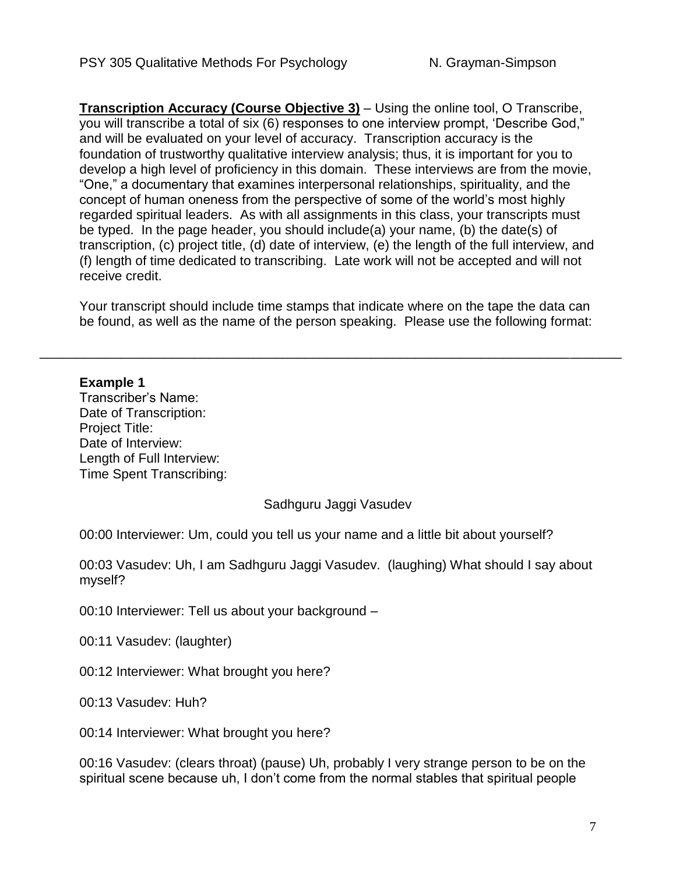**Transcription Accuracy (Course Objective 3)** – Using the online tool, O Transcribe, you will transcribe a total of six (6) responses to one interview prompt, 'Describe God," and will be evaluated on your level of accuracy. Transcription accuracy is the foundation of trustworthy qualitative interview analysis; thus, it is important for you to develop a high level of proficiency in this domain. These interviews are from the movie, "One," a documentary that examines interpersonal relationships, spirituality, and the concept of human oneness from the perspective of some of the world's most highly regarded spiritual leaders. As with all assignments in this class, your transcripts must be typed. In the page header, you should include(a) your name, (b) the date(s) of transcription, (c) project title, (d) date of interview, (e) the length of the full interview, and (f) length of time dedicated to transcribing. Late work will not be accepted and will not receive credit.

Your transcript should include time stamps that indicate where on the tape the data can be found, as well as the name of the person speaking. Please use the following format:

\_\_\_\_\_\_\_\_\_\_\_\_\_\_\_\_\_\_\_\_\_\_\_\_\_\_\_\_\_\_\_\_\_\_\_\_\_\_\_\_\_\_\_\_\_\_\_\_\_\_\_\_\_\_\_\_\_\_\_\_\_\_\_\_\_\_\_\_\_\_\_\_\_\_\_\_\_\_\_

#### **Example 1**

Transcriber's Name: Date of Transcription: Project Title: Date of Interview: Length of Full Interview: Time Spent Transcribing:

## Sadhguru Jaggi Vasudev

00:00 Interviewer: Um, could you tell us your name and a little bit about yourself?

00:03 Vasudev: Uh, I am Sadhguru Jaggi Vasudev. (laughing) What should I say about myself?

00:10 Interviewer: Tell us about your background –

00:11 Vasudev: (laughter)

00:12 Interviewer: What brought you here?

00:13 Vasudev: Huh?

00:14 Interviewer: What brought you here?

00:16 Vasudev: (clears throat) (pause) Uh, probably I very strange person to be on the spiritual scene because uh, I don't come from the normal stables that spiritual people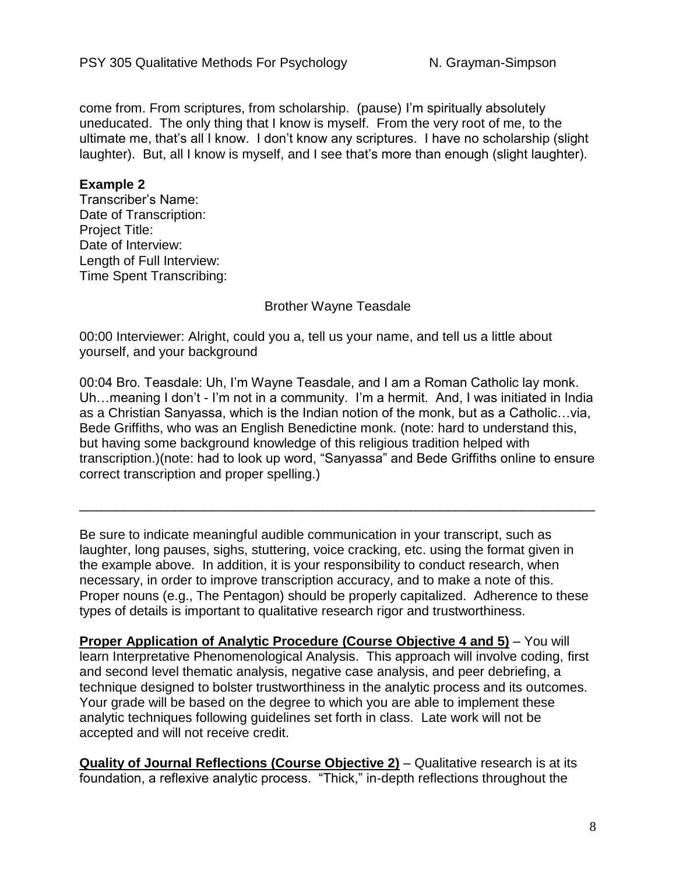come from. From scriptures, from scholarship. (pause) I'm spiritually absolutely uneducated. The only thing that I know is myself. From the very root of me, to the ultimate me, that's all I know. I don't know any scriptures. I have no scholarship (slight laughter). But, all I know is myself, and I see that's more than enough (slight laughter).

#### **Example 2**

Transcriber's Name: Date of Transcription: Project Title: Date of Interview: Length of Full Interview: Time Spent Transcribing:

#### Brother Wayne Teasdale

00:00 Interviewer: Alright, could you a, tell us your name, and tell us a little about yourself, and your background

00:04 Bro. Teasdale: Uh, I'm Wayne Teasdale, and I am a Roman Catholic lay monk. Uh…meaning I don't - I'm not in a community. I'm a hermit. And, I was initiated in India as a Christian Sanyassa, which is the Indian notion of the monk, but as a Catholic…via, Bede Griffiths, who was an English Benedictine monk. (note: hard to understand this, but having some background knowledge of this religious tradition helped with transcription.)(note: had to look up word, "Sanyassa" and Bede Griffiths online to ensure correct transcription and proper spelling.)

Be sure to indicate meaningful audible communication in your transcript, such as laughter, long pauses, sighs, stuttering, voice cracking, etc. using the format given in the example above. In addition, it is your responsibility to conduct research, when necessary, in order to improve transcription accuracy, and to make a note of this. Proper nouns (e.g., The Pentagon) should be properly capitalized. Adherence to these types of details is important to qualitative research rigor and trustworthiness.

\_\_\_\_\_\_\_\_\_\_\_\_\_\_\_\_\_\_\_\_\_\_\_\_\_\_\_\_\_\_\_\_\_\_\_\_\_\_\_\_\_\_\_\_\_\_\_\_\_\_\_\_\_\_\_\_\_\_\_\_\_\_\_\_\_\_\_\_\_\_

**Proper Application of Analytic Procedure (Course Objective 4 and 5)** – You will learn Interpretative Phenomenological Analysis. This approach will involve coding, first and second level thematic analysis, negative case analysis, and peer debriefing, a technique designed to bolster trustworthiness in the analytic process and its outcomes. Your grade will be based on the degree to which you are able to implement these analytic techniques following guidelines set forth in class. Late work will not be accepted and will not receive credit.

**Quality of Journal Reflections (Course Objective 2)** – Qualitative research is at its foundation, a reflexive analytic process. "Thick," in-depth reflections throughout the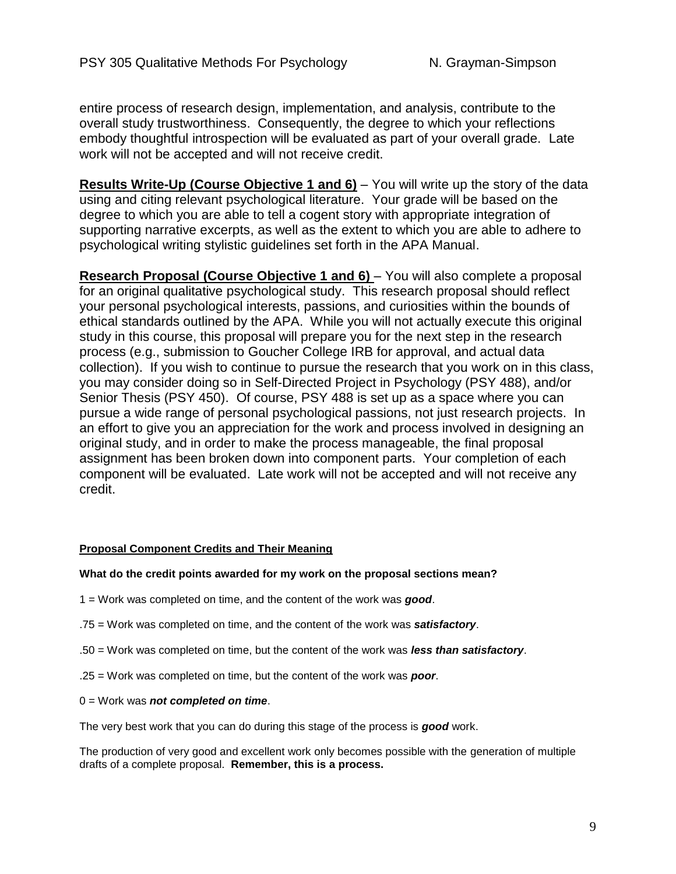entire process of research design, implementation, and analysis, contribute to the overall study trustworthiness. Consequently, the degree to which your reflections embody thoughtful introspection will be evaluated as part of your overall grade. Late work will not be accepted and will not receive credit.

**Results Write-Up (Course Objective 1 and 6)** – You will write up the story of the data using and citing relevant psychological literature. Your grade will be based on the degree to which you are able to tell a cogent story with appropriate integration of supporting narrative excerpts, as well as the extent to which you are able to adhere to psychological writing stylistic guidelines set forth in the APA Manual.

**Research Proposal (Course Objective 1 and 6)** – You will also complete a proposal for an original qualitative psychological study. This research proposal should reflect your personal psychological interests, passions, and curiosities within the bounds of ethical standards outlined by the APA. While you will not actually execute this original study in this course, this proposal will prepare you for the next step in the research process (e.g., submission to Goucher College IRB for approval, and actual data collection). If you wish to continue to pursue the research that you work on in this class, you may consider doing so in Self-Directed Project in Psychology (PSY 488), and/or Senior Thesis (PSY 450). Of course, PSY 488 is set up as a space where you can pursue a wide range of personal psychological passions, not just research projects. In an effort to give you an appreciation for the work and process involved in designing an original study, and in order to make the process manageable, the final proposal assignment has been broken down into component parts. Your completion of each component will be evaluated. Late work will not be accepted and will not receive any credit.

#### **Proposal Component Credits and Their Meaning**

#### **What do the credit points awarded for my work on the proposal sections mean?**

- 1 = Work was completed on time, and the content of the work was *good*.
- .75 = Work was completed on time, and the content of the work was *satisfactory*.
- .50 = Work was completed on time, but the content of the work was *less than satisfactory*.
- .25 = Work was completed on time, but the content of the work was *poor*.
- 0 = Work was *not completed on time*.

The very best work that you can do during this stage of the process is *good* work.

The production of very good and excellent work only becomes possible with the generation of multiple drafts of a complete proposal. **Remember, this is a process.**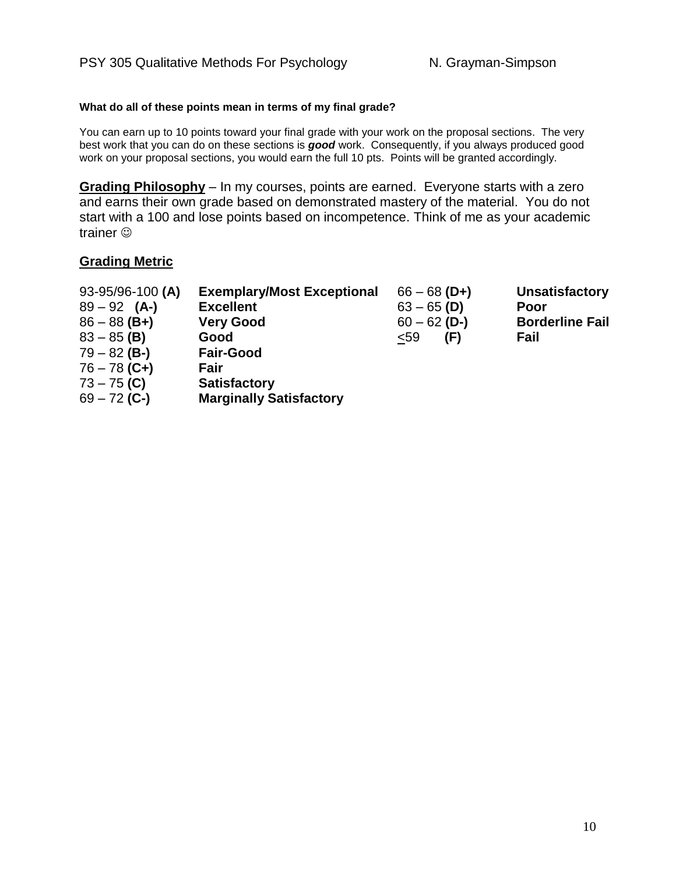#### **What do all of these points mean in terms of my final grade?**

You can earn up to 10 points toward your final grade with your work on the proposal sections. The very best work that you can do on these sections is *good* work. Consequently, if you always produced good work on your proposal sections, you would earn the full 10 pts. Points will be granted accordingly.

**Grading Philosophy** – In my courses, points are earned. Everyone starts with a zero and earns their own grade based on demonstrated mastery of the material. You do not start with a 100 and lose points based on incompetence. Think of me as your academic trainer  $\odot$ 

#### **Grading Metric**

| 93-95/96-100 (A)<br>$89 - 92$ (A-) | <b>Exemplary/Most Exceptional</b><br><b>Excellent</b> | $66 - 68$ (D+)<br>$63 - 65$ (D) | <b>Unsatisfactory</b><br>Poor |
|------------------------------------|-------------------------------------------------------|---------------------------------|-------------------------------|
| $86 - 88$ (B+)                     | <b>Very Good</b>                                      | $60 - 62$ (D-)                  | <b>Borderline Fail</b>        |
| $83 - 85$ (B)                      | Good                                                  | (F)<br>$59$                     | Fail                          |
| $79 - 82$ (B-)                     | <b>Fair-Good</b>                                      |                                 |                               |
| $76 - 78$ (C+)                     | Fair                                                  |                                 |                               |
| $73 - 75$ (C)                      | <b>Satisfactory</b>                                   |                                 |                               |
| $69 - 72$ (C-)                     | <b>Marginally Satisfactory</b>                        |                                 |                               |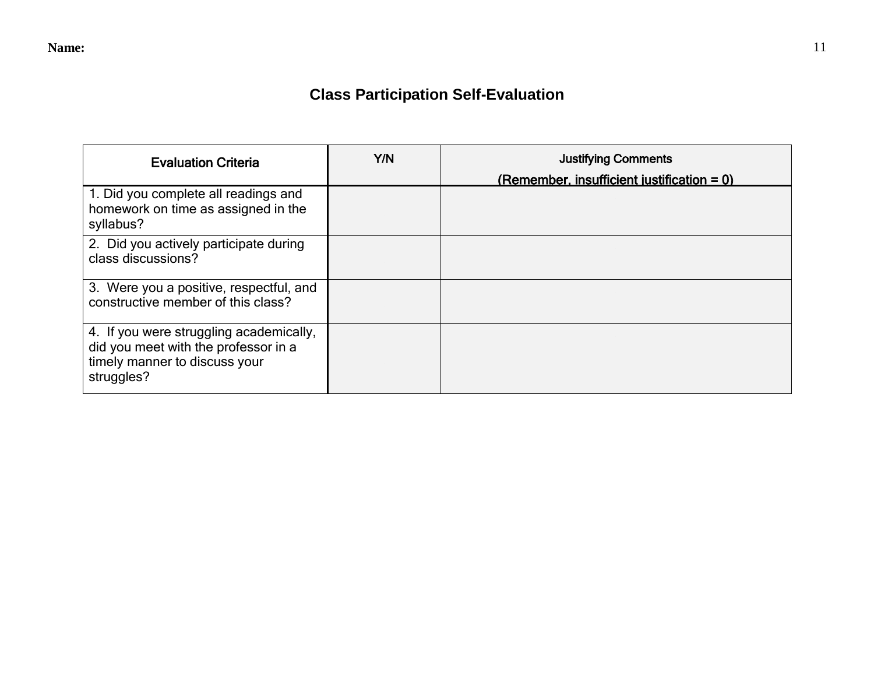# **Class Participation Self-Evaluation**

| <b>Evaluation Criteria</b>                                                                                                     | Y/N | <b>Justifying Comments</b><br>(Remember, insufficient iustification = $0$ ) |
|--------------------------------------------------------------------------------------------------------------------------------|-----|-----------------------------------------------------------------------------|
| 1. Did you complete all readings and<br>homework on time as assigned in the<br>syllabus?                                       |     |                                                                             |
| 2. Did you actively participate during<br>class discussions?                                                                   |     |                                                                             |
| 3. Were you a positive, respectful, and<br>constructive member of this class?                                                  |     |                                                                             |
| 4. If you were struggling academically,<br>did you meet with the professor in a<br>timely manner to discuss your<br>struggles? |     |                                                                             |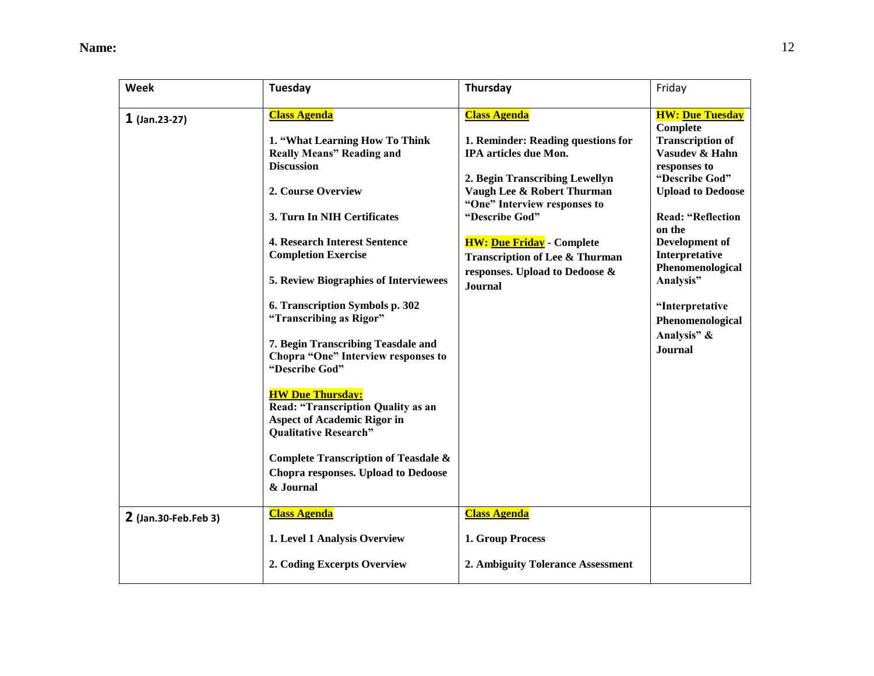**Name:** 12

| Week                 | Tuesday                                                                                                                                                                                                                                                                                                                                                                                                                                                                                                                                                                                                                                                                        | Thursday                                                                                                                                                                                                                                                                                                           | Friday                                                                                                                                                                                                                                                                                                 |
|----------------------|--------------------------------------------------------------------------------------------------------------------------------------------------------------------------------------------------------------------------------------------------------------------------------------------------------------------------------------------------------------------------------------------------------------------------------------------------------------------------------------------------------------------------------------------------------------------------------------------------------------------------------------------------------------------------------|--------------------------------------------------------------------------------------------------------------------------------------------------------------------------------------------------------------------------------------------------------------------------------------------------------------------|--------------------------------------------------------------------------------------------------------------------------------------------------------------------------------------------------------------------------------------------------------------------------------------------------------|
| $1$ (Jan.23-27)      | <b>Class Agenda</b>                                                                                                                                                                                                                                                                                                                                                                                                                                                                                                                                                                                                                                                            | <b>Class Agenda</b>                                                                                                                                                                                                                                                                                                | <b>HW: Due Tuesday</b>                                                                                                                                                                                                                                                                                 |
|                      | 1. "What Learning How To Think<br><b>Really Means" Reading and</b><br><b>Discussion</b><br>2. Course Overview<br>3. Turn In NIH Certificates<br><b>4. Research Interest Sentence</b><br><b>Completion Exercise</b><br><b>5. Review Biographies of Interviewees</b><br>6. Transcription Symbols p. 302<br>"Transcribing as Rigor"<br>7. Begin Transcribing Teasdale and<br>Chopra "One" Interview responses to<br>"Describe God"<br><b>HW Due Thursday:</b><br><b>Read: "Transcription Quality as an</b><br><b>Aspect of Academic Rigor in</b><br><b>Qualitative Research"</b><br><b>Complete Transcription of Teasdale &amp;</b><br><b>Chopra responses. Upload to Dedoose</b> | 1. Reminder: Reading questions for<br>IPA articles due Mon.<br>2. Begin Transcribing Lewellyn<br>Vaugh Lee & Robert Thurman<br>"One" Interview responses to<br>"Describe God"<br><b>HW: Due Friday</b> - Complete<br><b>Transcription of Lee &amp; Thurman</b><br>responses. Upload to Dedoose &<br><b>Journal</b> | Complete<br><b>Transcription of</b><br>Vasudev & Hahn<br>responses to<br>"Describe God"<br><b>Upload to Dedoose</b><br><b>Read: "Reflection</b><br>on the<br>Development of<br>Interpretative<br>Phenomenological<br>Analysis"<br>"Interpretative<br>Phenomenological<br>Analysis" &<br><b>Journal</b> |
|                      | & Journal                                                                                                                                                                                                                                                                                                                                                                                                                                                                                                                                                                                                                                                                      |                                                                                                                                                                                                                                                                                                                    |                                                                                                                                                                                                                                                                                                        |
| 2 (Jan.30-Feb.Feb 3) | <b>Class Agenda</b>                                                                                                                                                                                                                                                                                                                                                                                                                                                                                                                                                                                                                                                            | <b>Class Agenda</b>                                                                                                                                                                                                                                                                                                |                                                                                                                                                                                                                                                                                                        |
|                      | 1. Level 1 Analysis Overview                                                                                                                                                                                                                                                                                                                                                                                                                                                                                                                                                                                                                                                   | 1. Group Process                                                                                                                                                                                                                                                                                                   |                                                                                                                                                                                                                                                                                                        |
|                      | 2. Coding Excerpts Overview                                                                                                                                                                                                                                                                                                                                                                                                                                                                                                                                                                                                                                                    | 2. Ambiguity Tolerance Assessment                                                                                                                                                                                                                                                                                  |                                                                                                                                                                                                                                                                                                        |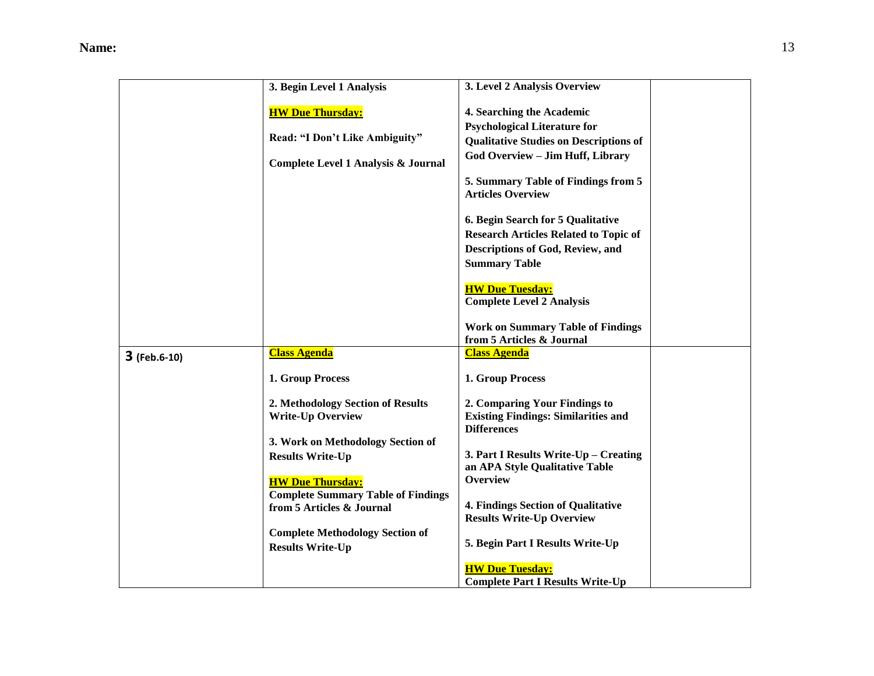|              | 3. Begin Level 1 Analysis                 | 3. Level 2 Analysis Overview                                     |  |
|--------------|-------------------------------------------|------------------------------------------------------------------|--|
|              |                                           |                                                                  |  |
|              | <b>HW Due Thursday:</b>                   | 4. Searching the Academic                                        |  |
|              |                                           | <b>Psychological Literature for</b>                              |  |
|              | Read: "I Don't Like Ambiguity"            | <b>Qualitative Studies on Descriptions of</b>                    |  |
|              | Complete Level 1 Analysis & Journal       | God Overview - Jim Huff, Library                                 |  |
|              |                                           |                                                                  |  |
|              |                                           | 5. Summary Table of Findings from 5<br><b>Articles Overview</b>  |  |
|              |                                           |                                                                  |  |
|              |                                           | 6. Begin Search for 5 Qualitative                                |  |
|              |                                           | <b>Research Articles Related to Topic of</b>                     |  |
|              |                                           | Descriptions of God, Review, and                                 |  |
|              |                                           | <b>Summary Table</b>                                             |  |
|              |                                           |                                                                  |  |
|              |                                           | <b>HW Due Tuesday:</b>                                           |  |
|              |                                           | <b>Complete Level 2 Analysis</b>                                 |  |
|              |                                           | <b>Work on Summary Table of Findings</b>                         |  |
|              |                                           | from 5 Articles & Journal                                        |  |
| 3 (Feb.6-10) | <b>Class Agenda</b>                       | <b>Class Agenda</b>                                              |  |
|              |                                           |                                                                  |  |
|              | 1. Group Process                          | 1. Group Process                                                 |  |
|              |                                           |                                                                  |  |
|              | 2. Methodology Section of Results         | 2. Comparing Your Findings to                                    |  |
|              | <b>Write-Up Overview</b>                  | <b>Existing Findings: Similarities and</b><br><b>Differences</b> |  |
|              | 3. Work on Methodology Section of         |                                                                  |  |
|              | <b>Results Write-Up</b>                   | 3. Part I Results Write-Up – Creating                            |  |
|              |                                           | an APA Style Qualitative Table                                   |  |
|              | <b>HW Due Thursday:</b>                   | Overview                                                         |  |
|              | <b>Complete Summary Table of Findings</b> |                                                                  |  |
|              | from 5 Articles & Journal                 | <b>4. Findings Section of Qualitative</b>                        |  |
|              |                                           | <b>Results Write-Up Overview</b>                                 |  |
|              | <b>Complete Methodology Section of</b>    |                                                                  |  |
|              | <b>Results Write-Up</b>                   | 5. Begin Part I Results Write-Up                                 |  |
|              |                                           | <b>HW Due Tuesday:</b>                                           |  |
|              |                                           | <b>Complete Part I Results Write-Up</b>                          |  |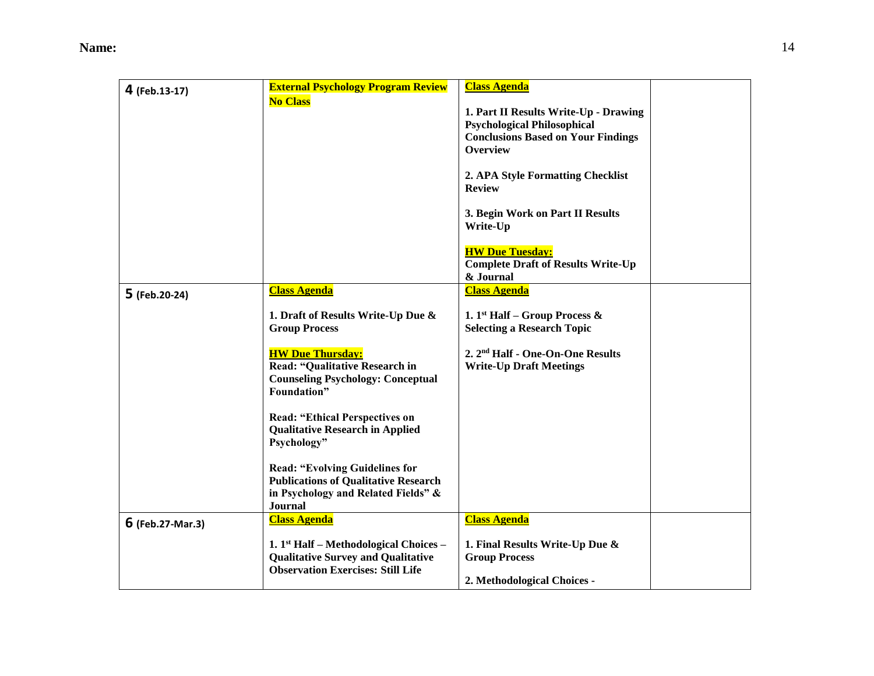| 4 (Feb.13-17)      | <b>External Psychology Program Review</b><br><b>No Class</b>                                                                                                                                                                                                                                                                                                                                                                                                        | <b>Class Agenda</b><br>1. Part II Results Write-Up - Drawing<br><b>Psychological Philosophical</b><br><b>Conclusions Based on Your Findings</b><br><b>Overview</b><br>2. APA Style Formatting Checklist<br><b>Review</b> |  |
|--------------------|---------------------------------------------------------------------------------------------------------------------------------------------------------------------------------------------------------------------------------------------------------------------------------------------------------------------------------------------------------------------------------------------------------------------------------------------------------------------|--------------------------------------------------------------------------------------------------------------------------------------------------------------------------------------------------------------------------|--|
|                    |                                                                                                                                                                                                                                                                                                                                                                                                                                                                     | 3. Begin Work on Part II Results<br>Write-Up<br><b>HW Due Tuesday:</b><br><b>Complete Draft of Results Write-Up</b><br>& Journal                                                                                         |  |
| 5 (Feb.20-24)      | <b>Class Agenda</b><br>1. Draft of Results Write-Up Due &<br><b>Group Process</b><br><b>HW Due Thursday:</b><br><b>Read: "Qualitative Research in</b><br><b>Counseling Psychology: Conceptual</b><br>Foundation"<br><b>Read: "Ethical Perspectives on</b><br><b>Qualitative Research in Applied</b><br>Psychology"<br><b>Read: "Evolving Guidelines for</b><br><b>Publications of Qualitative Research</b><br>in Psychology and Related Fields" &<br><b>Journal</b> | <b>Class Agenda</b><br>1. 1 <sup>st</sup> Half – Group Process $\&$<br><b>Selecting a Research Topic</b><br>2. 2 <sup>nd</sup> Half - One-On-One Results<br><b>Write-Up Draft Meetings</b>                               |  |
| $6$ (Feb.27-Mar.3) | <b>Class Agenda</b><br>1. $1st$ Half – Methodological Choices –<br><b>Qualitative Survey and Qualitative</b><br><b>Observation Exercises: Still Life</b>                                                                                                                                                                                                                                                                                                            | <b>Class Agenda</b><br>1. Final Results Write-Up Due &<br><b>Group Process</b><br>2. Methodological Choices -                                                                                                            |  |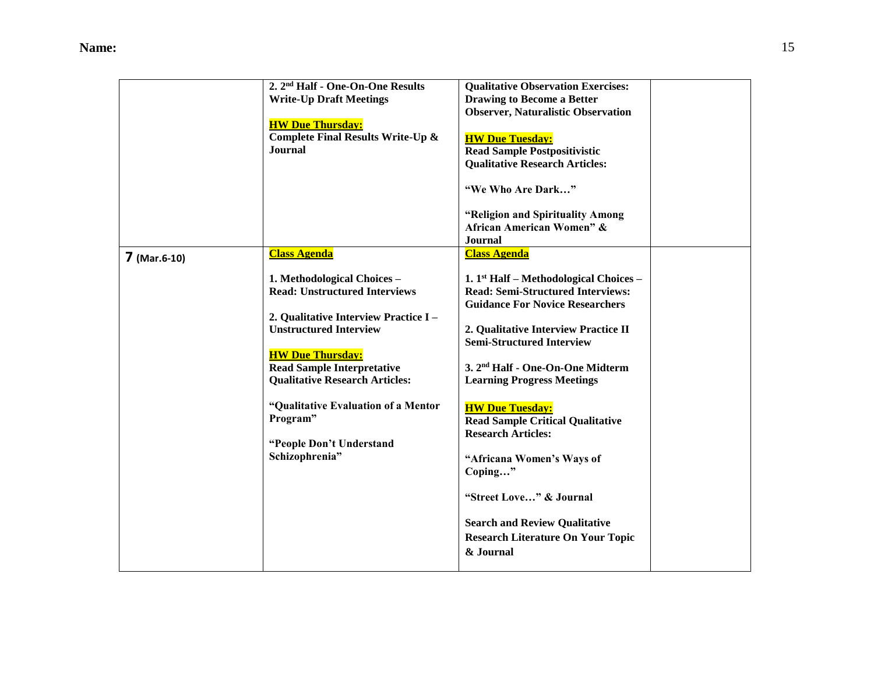|                | 2. 2 <sup>nd</sup> Half - One-On-One Results | <b>Qualitative Observation Exercises:</b>    |  |
|----------------|----------------------------------------------|----------------------------------------------|--|
|                | <b>Write-Up Draft Meetings</b>               | <b>Drawing to Become a Better</b>            |  |
|                |                                              | <b>Observer, Naturalistic Observation</b>    |  |
|                | <b>HW Due Thursday:</b>                      |                                              |  |
|                | Complete Final Results Write-Up &            | <b>HW Due Tuesday:</b>                       |  |
|                | <b>Journal</b>                               | <b>Read Sample Postpositivistic</b>          |  |
|                |                                              | <b>Qualitative Research Articles:</b>        |  |
|                |                                              |                                              |  |
|                |                                              | "We Who Are Dark"                            |  |
|                |                                              | "Religion and Spirituality Among             |  |
|                |                                              | African American Women" &                    |  |
|                |                                              | <b>Journal</b>                               |  |
| $7$ (Mar.6-10) | <b>Class Agenda</b>                          | <b>Class Agenda</b>                          |  |
|                |                                              |                                              |  |
|                | 1. Methodological Choices -                  | 1. $1st$ Half – Methodological Choices –     |  |
|                | <b>Read: Unstructured Interviews</b>         | <b>Read: Semi-Structured Interviews:</b>     |  |
|                |                                              | <b>Guidance For Novice Researchers</b>       |  |
|                | 2. Qualitative Interview Practice I-         |                                              |  |
|                | <b>Unstructured Interview</b>                | 2. Qualitative Interview Practice II         |  |
|                |                                              | <b>Semi-Structured Interview</b>             |  |
|                | <b>HW Due Thursday:</b>                      |                                              |  |
|                | <b>Read Sample Interpretative</b>            | 3. 2 <sup>nd</sup> Half - One-On-One Midterm |  |
|                | <b>Qualitative Research Articles:</b>        | <b>Learning Progress Meetings</b>            |  |
|                |                                              |                                              |  |
|                | "Qualitative Evaluation of a Mentor          | <b>HW Due Tuesday:</b>                       |  |
|                | Program"                                     | <b>Read Sample Critical Qualitative</b>      |  |
|                |                                              | <b>Research Articles:</b>                    |  |
|                | "People Don't Understand                     |                                              |  |
|                | Schizophrenia"                               | "Africana Women's Ways of                    |  |
|                |                                              | Coping"                                      |  |
|                |                                              | "Street Love" & Journal                      |  |
|                |                                              |                                              |  |
|                |                                              | <b>Search and Review Qualitative</b>         |  |
|                |                                              | <b>Research Literature On Your Topic</b>     |  |
|                |                                              | & Journal                                    |  |
|                |                                              |                                              |  |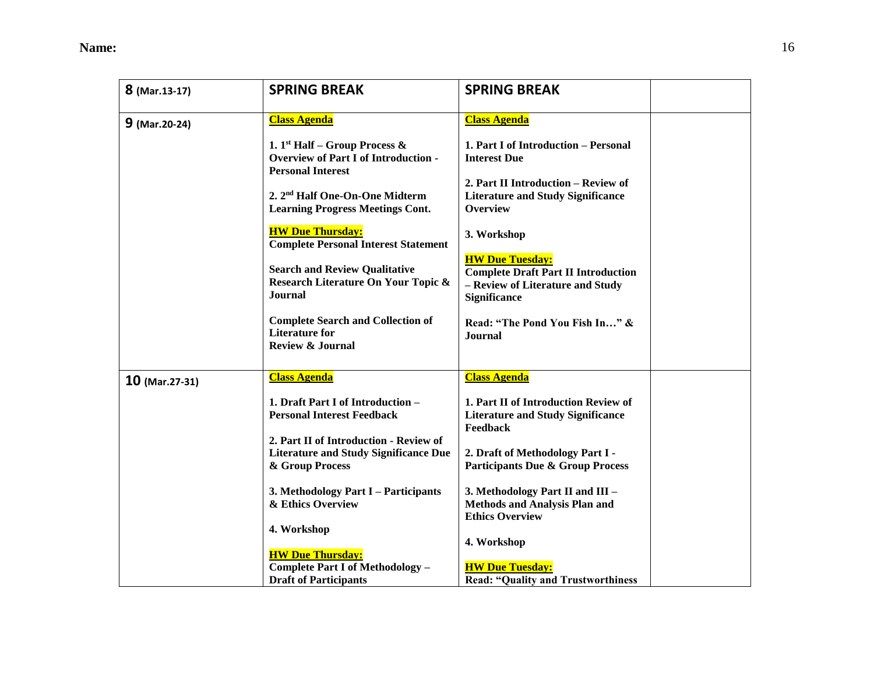**Name:** 16

| 8 (Mar.13-17)    | <b>SPRING BREAK</b>                                                                         | <b>SPRING BREAK</b>                                                              |  |
|------------------|---------------------------------------------------------------------------------------------|----------------------------------------------------------------------------------|--|
|                  | <b>Class Agenda</b>                                                                         | <b>Class Agenda</b>                                                              |  |
| $9$ (Mar. 20-24) |                                                                                             |                                                                                  |  |
|                  | 1. 1 <sup>st</sup> Half – Group Process $\&$<br><b>Overview of Part I of Introduction -</b> | 1. Part I of Introduction - Personal<br><b>Interest Due</b>                      |  |
|                  | <b>Personal Interest</b>                                                                    |                                                                                  |  |
|                  |                                                                                             | 2. Part II Introduction - Review of                                              |  |
|                  | 2. 2 <sup>nd</sup> Half One-On-One Midterm<br><b>Learning Progress Meetings Cont.</b>       | <b>Literature and Study Significance</b><br><b>Overview</b>                      |  |
|                  |                                                                                             |                                                                                  |  |
|                  | <b>HW Due Thursday:</b><br><b>Complete Personal Interest Statement</b>                      | 3. Workshop                                                                      |  |
|                  |                                                                                             | <b>HW Due Tuesday:</b>                                                           |  |
|                  | <b>Search and Review Qualitative</b><br>Research Literature On Your Topic &                 | <b>Complete Draft Part II Introduction</b><br>- Review of Literature and Study   |  |
|                  | <b>Journal</b>                                                                              | <b>Significance</b>                                                              |  |
|                  | <b>Complete Search and Collection of</b>                                                    | Read: "The Pond You Fish In" &                                                   |  |
|                  | <b>Literature for</b>                                                                       | <b>Journal</b>                                                                   |  |
|                  | <b>Review &amp; Journal</b>                                                                 |                                                                                  |  |
|                  | <b>Class Agenda</b>                                                                         | <b>Class Agenda</b>                                                              |  |
| $10$ (Mar.27-31) |                                                                                             |                                                                                  |  |
|                  | 1. Draft Part I of Introduction -<br><b>Personal Interest Feedback</b>                      | 1. Part II of Introduction Review of<br><b>Literature and Study Significance</b> |  |
|                  |                                                                                             | Feedback                                                                         |  |
|                  | 2. Part II of Introduction - Review of                                                      |                                                                                  |  |
|                  | <b>Literature and Study Significance Due</b><br>& Group Process                             | 2. Draft of Methodology Part I -<br><b>Participants Due &amp; Group Process</b>  |  |
|                  |                                                                                             |                                                                                  |  |
|                  | 3. Methodology Part I – Participants<br>& Ethics Overview                                   | 3. Methodology Part II and III -<br><b>Methods and Analysis Plan and</b>         |  |
|                  |                                                                                             | <b>Ethics Overview</b>                                                           |  |
|                  | 4. Workshop                                                                                 | 4. Workshop                                                                      |  |
|                  | <b>HW Due Thursday:</b>                                                                     |                                                                                  |  |
|                  | Complete Part I of Methodology -<br><b>Draft of Participants</b>                            | <b>HW Due Tuesday:</b><br><b>Read: "Quality and Trustworthiness</b>              |  |
|                  |                                                                                             |                                                                                  |  |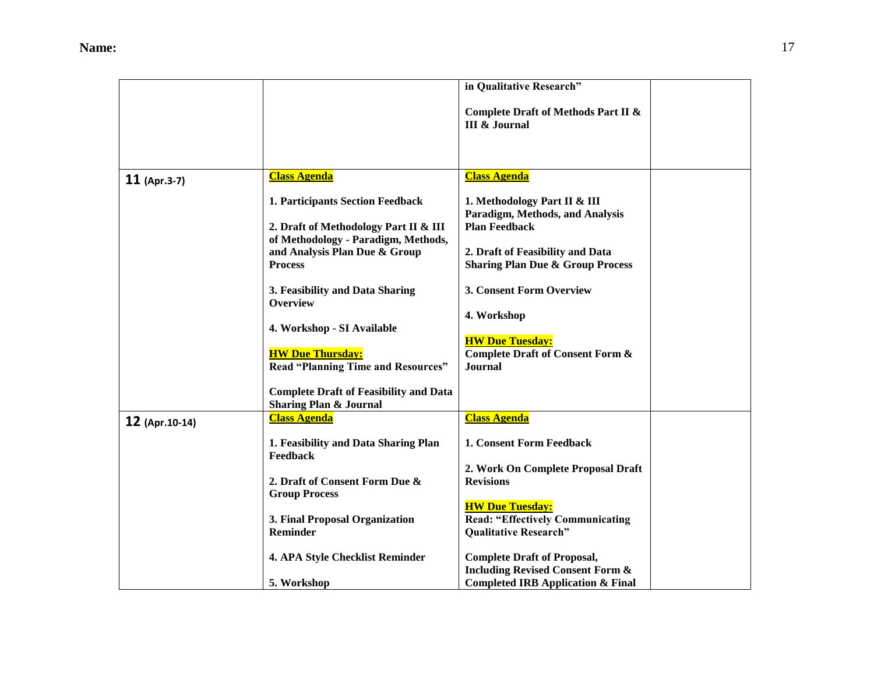|                |                                                                                    | in Qualitative Research"                                                          |  |
|----------------|------------------------------------------------------------------------------------|-----------------------------------------------------------------------------------|--|
|                |                                                                                    | Complete Draft of Methods Part II &<br><b>III &amp; Journal</b>                   |  |
|                |                                                                                    |                                                                                   |  |
| $11$ (Apr.3-7) | <b>Class Agenda</b>                                                                | <b>Class Agenda</b>                                                               |  |
|                | 1. Participants Section Feedback                                                   | 1. Methodology Part II & III<br>Paradigm, Methods, and Analysis                   |  |
|                | 2. Draft of Methodology Part II & III<br>of Methodology - Paradigm, Methods,       | <b>Plan Feedback</b>                                                              |  |
|                | and Analysis Plan Due & Group                                                      | 2. Draft of Feasibility and Data                                                  |  |
|                | <b>Process</b>                                                                     | <b>Sharing Plan Due &amp; Group Process</b>                                       |  |
|                | 3. Feasibility and Data Sharing<br><b>Overview</b>                                 | 3. Consent Form Overview                                                          |  |
|                |                                                                                    | 4. Workshop                                                                       |  |
|                | 4. Workshop - SI Available                                                         | <b>HW Due Tuesday:</b>                                                            |  |
|                | <b>HW Due Thursday:</b><br><b>Read "Planning Time and Resources"</b>               | <b>Complete Draft of Consent Form &amp;</b><br><b>Journal</b>                     |  |
|                | <b>Complete Draft of Feasibility and Data</b><br><b>Sharing Plan &amp; Journal</b> |                                                                                   |  |
| 12 (Apr.10-14) | <b>Class Agenda</b>                                                                | <b>Class Agenda</b>                                                               |  |
|                | 1. Feasibility and Data Sharing Plan<br>Feedback                                   | 1. Consent Form Feedback                                                          |  |
|                |                                                                                    | 2. Work On Complete Proposal Draft                                                |  |
|                | 2. Draft of Consent Form Due &<br><b>Group Process</b>                             | <b>Revisions</b>                                                                  |  |
|                | 3. Final Proposal Organization                                                     | <b>HW Due Tuesday:</b><br><b>Read: "Effectively Communicating</b>                 |  |
|                | <b>Reminder</b>                                                                    | <b>Qualitative Research"</b>                                                      |  |
|                | 4. APA Style Checklist Reminder                                                    | <b>Complete Draft of Proposal,</b><br><b>Including Revised Consent Form &amp;</b> |  |
|                | 5. Workshop                                                                        | <b>Completed IRB Application &amp; Final</b>                                      |  |